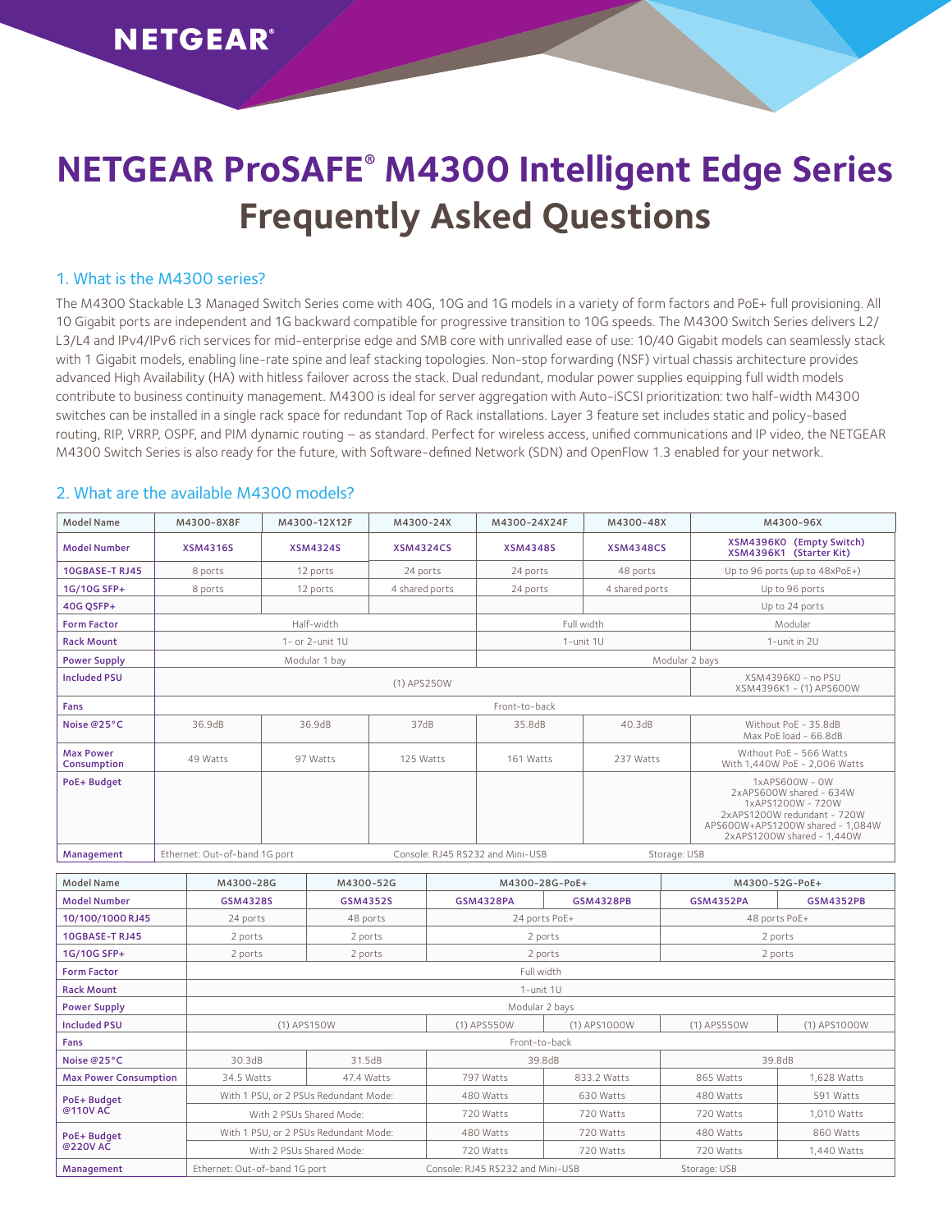# **NETGEAR ProSAFE® M4300 Intelligent Edge Series Frequently Asked Questions**

#### 1. What is the M4300 series?

The M4300 Stackable L3 Managed Switch Series come with 40G, 10G and 1G models in a variety of form factors and PoE+ full provisioning. All 10 Gigabit ports are independent and 1G backward compatible for progressive transition to 10G speeds. The M4300 Switch Series delivers L2/ L3/L4 and IPv4/IPv6 rich services for mid-enterprise edge and SMB core with unrivalled ease of use: 10/40 Gigabit models can seamlessly stack with 1 Gigabit models, enabling line-rate spine and leaf stacking topologies. Non-stop forwarding (NSF) virtual chassis architecture provides advanced High Availability (HA) with hitless failover across the stack. Dual redundant, modular power supplies equipping full width models contribute to business continuity management. M4300 is ideal for server aggregation with Auto-iSCSI prioritization: two half-width M4300 switches can be installed in a single rack space for redundant Top of Rack installations. Layer 3 feature set includes static and policy-based routing, RIP, VRRP, OSPF, and PIM dynamic routing – as standard. Perfect for wireless access, unified communications and IP video, the NETGEAR M4300 Switch Series is also ready for the future, with Software-defined Network (SDN) and OpenFlow 1.3 enabled for your network.

#### 2. What are the available M4300 models?

| Model Name                      | M4300-8X8F                                                        | M4300-12X12F    | M4300-24X                                     | M4300-24X24F    | M4300-48X        | M4300-96X                                                                                                                                                          |  |  |
|---------------------------------|-------------------------------------------------------------------|-----------------|-----------------------------------------------|-----------------|------------------|--------------------------------------------------------------------------------------------------------------------------------------------------------------------|--|--|
| <b>Model Number</b>             | <b>XSM4316S</b>                                                   | <b>XSM4324S</b> | <b>XSM4324CS</b>                              | <b>XSM4348S</b> | <b>XSM4348CS</b> | XSM4396KO (Empty Switch)<br>XSM4396K1 (Starter Kit)                                                                                                                |  |  |
| <b>10GBASE-T RJ45</b>           | 8 ports                                                           | 12 ports        | 24 ports                                      | 24 ports        | 48 ports         | Up to $96$ ports (up to $48xPoE+$ )                                                                                                                                |  |  |
| 1G/10G SFP+                     | 8 ports                                                           | 12 ports        | 4 shared ports                                | 24 ports        | 4 shared ports   | Up to 96 ports                                                                                                                                                     |  |  |
| 40G OSFP+                       |                                                                   |                 |                                               |                 |                  | Up to 24 ports                                                                                                                                                     |  |  |
| <b>Form Factor</b>              | Half-width                                                        |                 |                                               | Full width      |                  | Modular                                                                                                                                                            |  |  |
| <b>Rack Mount</b>               | $1 - or 2$ -unit $1U$                                             |                 |                                               | 1-unit 1U       |                  | 1-unit in 2U                                                                                                                                                       |  |  |
| <b>Power Supply</b>             |                                                                   | Modular 1 bay   |                                               | Modular 2 bays  |                  |                                                                                                                                                                    |  |  |
| <b>Included PSU</b>             |                                                                   |                 | XSM4396K0 - no PSU<br>XSM4396K1 - (1) APS600W |                 |                  |                                                                                                                                                                    |  |  |
| Fans                            | Front-to-back                                                     |                 |                                               |                 |                  |                                                                                                                                                                    |  |  |
| Noise @25°C                     | 36.9dB                                                            | 36.9dB          | 37dB                                          | 35.8dB          | 40.3dB           | Without PoE - 35.8dB<br>Max PoE load - 66.8dB                                                                                                                      |  |  |
| <b>Max Power</b><br>Consumption | 49 Watts                                                          | 97 Watts        | 125 Watts                                     | 161 Watts       | 237 Watts        | Without PoF - 566 Watts<br>With 1.440W PoE - 2.006 Watts                                                                                                           |  |  |
| PoE+ Budget                     |                                                                   |                 |                                               |                 |                  | $1x$ APS600W - OW<br>2xAPS600W shared - 634W<br>1xAPS1200W - 720W<br>2xAPS1200W redundant - 720W<br>APS600W+APS1200W shared - 1.084W<br>2xAPS1200W shared - 1.440W |  |  |
| Management                      | Ethernet: Out-of-band 1G port<br>Console: RJ45 RS232 and Mini-USB |                 |                                               |                 | Storage: USB     |                                                                                                                                                                    |  |  |

| Model Name                   | M4300-28G                     | M4300-52G                             | M4300-28G-PoE+                   |                  | M4300-52G-PoE+   |                  |  |  |  |  |
|------------------------------|-------------------------------|---------------------------------------|----------------------------------|------------------|------------------|------------------|--|--|--|--|
| <b>Model Number</b>          | <b>GSM4328S</b>               | <b>GSM4352S</b>                       | <b>GSM4328PA</b>                 | <b>GSM4328PB</b> | <b>GSM4352PA</b> | <b>GSM4352PB</b> |  |  |  |  |
| 10/100/1000 RJ45             | 24 ports                      | 48 ports                              | 24 ports PoE+                    |                  | 48 ports PoE+    |                  |  |  |  |  |
| 10GBASE-TRJ45                | 2 ports                       | 2 ports                               | 2 ports                          |                  | 2 ports          |                  |  |  |  |  |
| 1G/10G SFP+                  | 2 ports<br>2 ports            |                                       | 2 ports                          |                  | 2 ports          |                  |  |  |  |  |
| <b>Form Factor</b>           | Full width                    |                                       |                                  |                  |                  |                  |  |  |  |  |
| <b>Rack Mount</b>            | 1-unit 1U                     |                                       |                                  |                  |                  |                  |  |  |  |  |
| <b>Power Supply</b>          | Modular 2 bays                |                                       |                                  |                  |                  |                  |  |  |  |  |
| <b>Included PSU</b>          | (1) APS150W                   |                                       | (1) APS550W                      | (1) APS1000W     | (1) APS550W      | (1) APS1000W     |  |  |  |  |
| Fans                         | Front-to-back                 |                                       |                                  |                  |                  |                  |  |  |  |  |
| Noise @25°C                  | 30.3dB<br>31.5dB              |                                       | 39.8dB                           |                  | 39.8dB           |                  |  |  |  |  |
| <b>Max Power Consumption</b> | 34.5 Watts                    | 47.4 Watts                            | 797 Watts                        | 833.2 Watts      | 865 Watts        | 1,628 Watts      |  |  |  |  |
| PoE+ Budget                  |                               | With 1 PSU, or 2 PSUs Redundant Mode: | 480 Watts                        | 630 Watts        | 480 Watts        | 591 Watts        |  |  |  |  |
| @110V AC                     |                               | With 2 PSUs Shared Mode:              | 720 Watts                        | 720 Watts        | 720 Watts        | 1,010 Watts      |  |  |  |  |
| PoE+ Budget                  |                               | With 1 PSU, or 2 PSUs Redundant Mode: | 480 Watts                        | 720 Watts        | 480 Watts        | 860 Watts        |  |  |  |  |
| @220VAC                      |                               | With 2 PSUs Shared Mode:              | 720 Watts                        | 720 Watts        | 720 Watts        | 1,440 Watts      |  |  |  |  |
| Management                   | Ethernet: Out-of-band 1G port |                                       | Console: RJ45 RS232 and Mini-USB |                  | Storage: USB     |                  |  |  |  |  |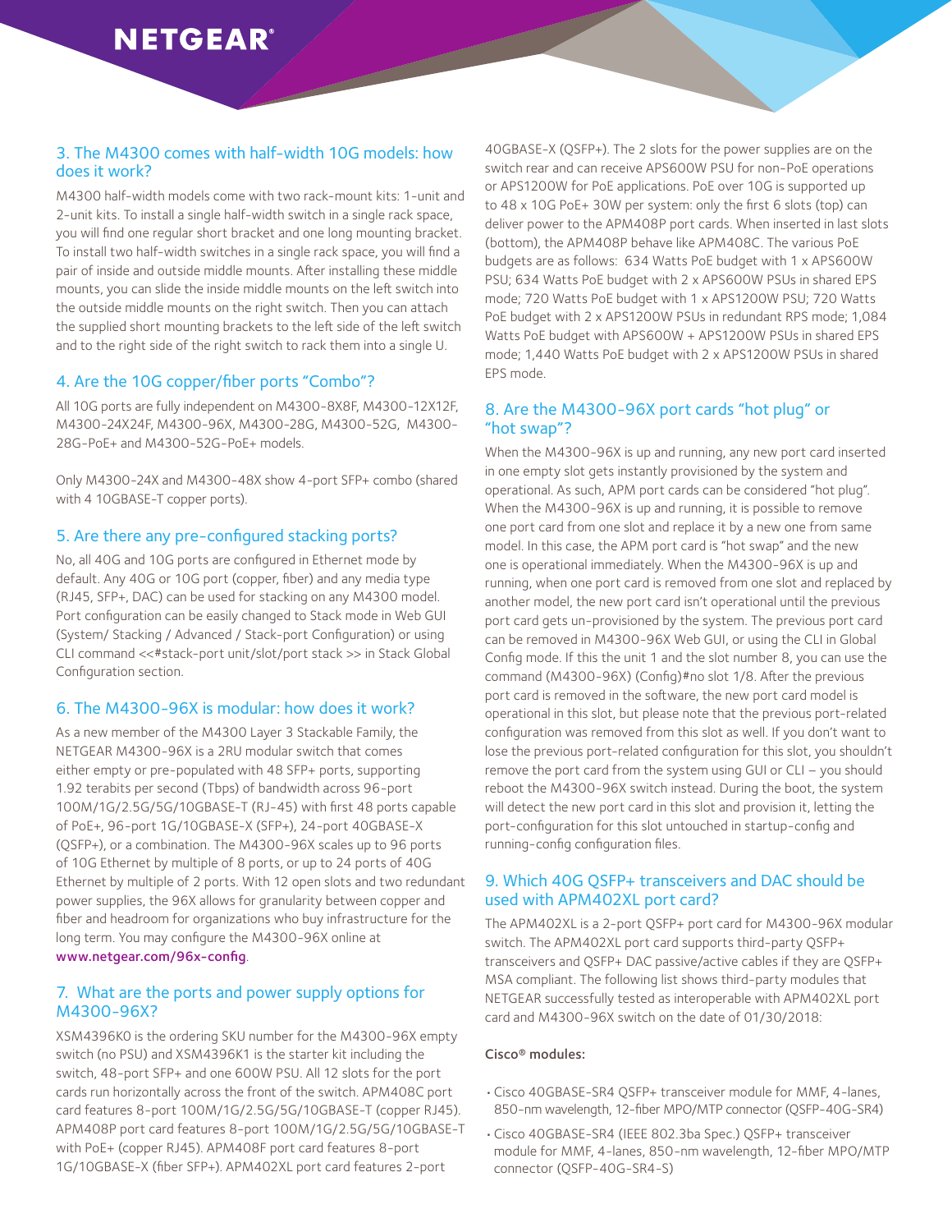#### 3. The M4300 comes with half-width 10G models: how does it work?

M4300 half-width models come with two rack-mount kits: 1-unit and 2-unit kits. To install a single half-width switch in a single rack space, you will find one regular short bracket and one long mounting bracket. To install two half-width switches in a single rack space, you will find a pair of inside and outside middle mounts. After installing these middle mounts, you can slide the inside middle mounts on the left switch into the outside middle mounts on the right switch. Then you can attach the supplied short mounting brackets to the left side of the left switch and to the right side of the right switch to rack them into a single U.

#### 4. Are the 10G copper/fiber ports "Combo"?

All 10G ports are fully independent on M4300-8X8F, M4300-12X12F, M4300-24X24F, M4300-96X, M4300-28G, M4300-52G, M4300- 28G-PoE+ and M4300-52G-PoE+ models.

Only M4300-24X and M4300-48X show 4-port SFP+ combo (shared with 4 10GBASE-T copper ports).

#### 5. Are there any pre-configured stacking ports?

No, all 40G and 10G ports are configured in Ethernet mode by default. Any 40G or 10G port (copper, fiber) and any media type (RJ45, SFP+, DAC) can be used for stacking on any M4300 model. Port configuration can be easily changed to Stack mode in Web GUI (System/ Stacking / Advanced / Stack-port Configuration) or using CLI command <<#stack-port unit/slot/port stack >> in Stack Global Configuration section.

#### 6. The M4300-96X is modular: how does it work?

As a new member of the M4300 Layer 3 Stackable Family, the NETGEAR M4300-96X is a 2RU modular switch that comes either empty or pre-populated with 48 SFP+ ports, supporting 1.92 terabits per second (Tbps) of bandwidth across 96-port 100M/1G/2.5G/5G/10GBASE-T (RJ-45) with first 48 ports capable of PoE+, 96-port 1G/10GBASE-X (SFP+), 24-port 40GBASE-X (QSFP+), or a combination. The M4300-96X scales up to 96 ports of 10G Ethernet by multiple of 8 ports, or up to 24 ports of 40G Ethernet by multiple of 2 ports. With 12 open slots and two redundant power supplies, the 96X allows for granularity between copper and fiber and headroom for organizations who buy infrastructure for the long term. You may configure the M4300-96X online at [www.netgear.com/96x-config](http://www.netgear.com/96x-config).

#### 7. What are the ports and power supply options for M4300-96X?

XSM4396K0 is the ordering SKU number for the M4300-96X empty switch (no PSU) and XSM4396K1 is the starter kit including the switch, 48-port SFP+ and one 600W PSU. All 12 slots for the port cards run horizontally across the front of the switch. APM408C port card features 8-port 100M/1G/2.5G/5G/10GBASE-T (copper RJ45). APM408P port card features 8-port 100M/1G/2.5G/5G/10GBASE-T with PoE+ (copper RJ45). APM408F port card features 8-port 1G/10GBASE-X (fiber SFP+). APM402XL port card features 2-port

40GBASE-X (QSFP+). The 2 slots for the power supplies are on the switch rear and can receive APS600W PSU for non-PoE operations or APS1200W for PoE applications. PoE over 10G is supported up to 48 x 10G PoE+ 30W per system: only the first 6 slots (top) can deliver power to the APM408P port cards. When inserted in last slots (bottom), the APM408P behave like APM408C. The various PoE budgets are as follows: 634 Watts PoE budget with 1 x APS600W PSU; 634 Watts PoE budget with 2 x APS600W PSUs in shared EPS mode; 720 Watts PoE budget with 1 x APS1200W PSU; 720 Watts PoE budget with 2 x APS1200W PSUs in redundant RPS mode; 1,084 Watts PoE budget with APS600W + APS1200W PSUs in shared EPS mode; 1,440 Watts PoE budget with 2 x APS1200W PSUs in shared EPS mode.

#### 8. Are the M4300-96X port cards "hot plug" or "hot swap"?

When the M4300-96X is up and running, any new port card inserted in one empty slot gets instantly provisioned by the system and operational. As such, APM port cards can be considered "hot plug". When the M4300-96X is up and running, it is possible to remove one port card from one slot and replace it by a new one from same model. In this case, the APM port card is "hot swap" and the new one is operational immediately. When the M4300-96X is up and running, when one port card is removed from one slot and replaced by another model, the new port card isn't operational until the previous port card gets un-provisioned by the system. The previous port card can be removed in M4300-96X Web GUI, or using the CLI in Global Config mode. If this the unit 1 and the slot number 8, you can use the command (M4300-96X) (Config)#no slot 1/8. After the previous port card is removed in the software, the new port card model is operational in this slot, but please note that the previous port-related configuration was removed from this slot as well. If you don't want to lose the previous port-related configuration for this slot, you shouldn't remove the port card from the system using GUI or CLI – you should reboot the M4300-96X switch instead. During the boot, the system will detect the new port card in this slot and provision it, letting the port-configuration for this slot untouched in startup-config and running-config configuration files.

#### 9. Which 40G QSFP+ transceivers and DAC should be used with APM402XL port card?

The APM402XL is a 2-port QSFP+ port card for M4300-96X modular switch. The APM402XL port card supports third-party QSFP+ transceivers and QSFP+ DAC passive/active cables if they are QSFP+ MSA compliant. The following list shows third-party modules that NETGEAR successfully tested as interoperable with APM402XL port card and M4300-96X switch on the date of 01/30/2018:

#### Cisco® modules:

- Cisco 40GBASE-SR4 QSFP+ transceiver module for MMF, 4-lanes, 850-nm wavelength, 12-fiber MPO/MTP connector (QSFP-40G-SR4)
- • Cisco 40GBASE-SR4 (IEEE 802.3ba Spec.) QSFP+ transceiver module for MMF, 4-lanes, 850-nm wavelength, 12-fiber MPO/MTP connector (QSFP-40G-SR4-S)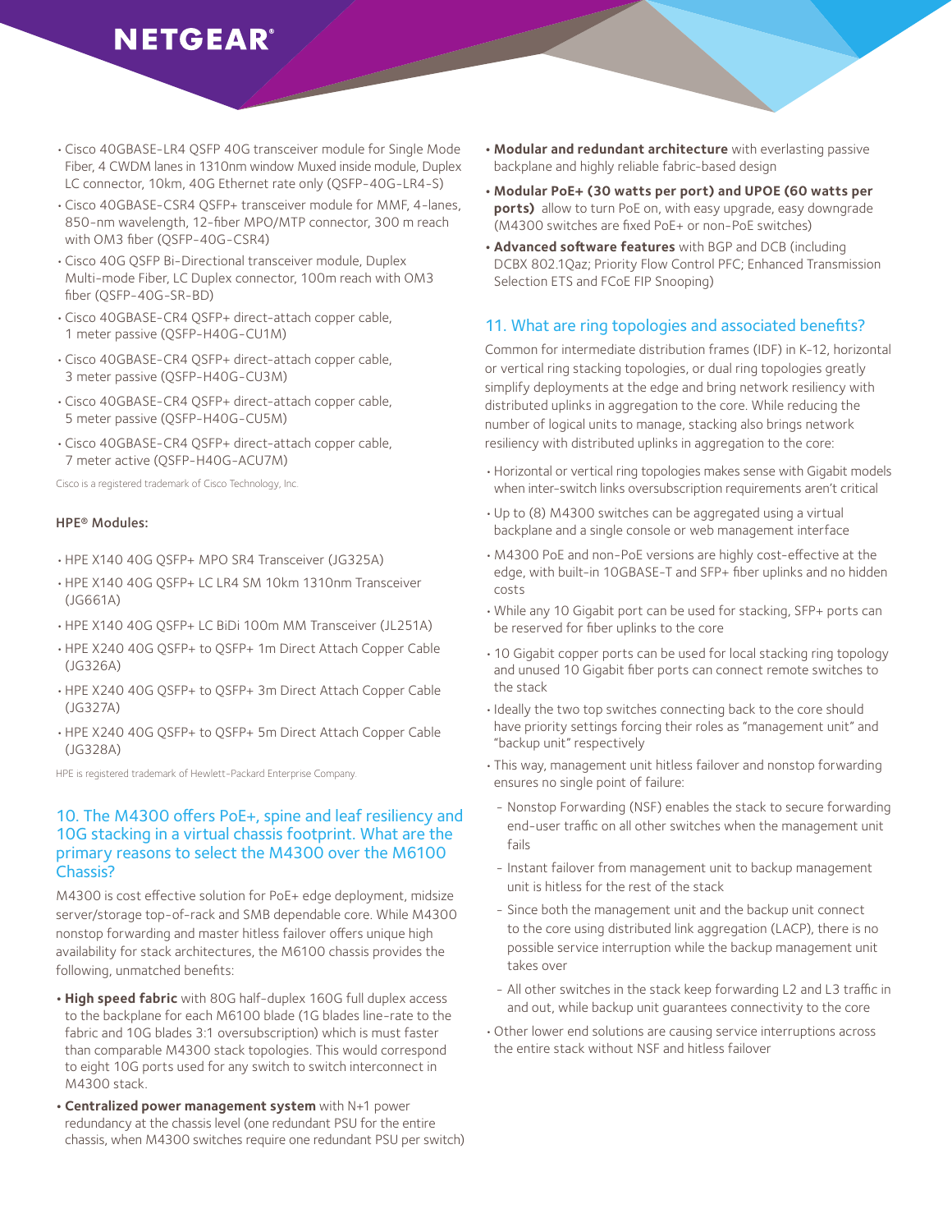- Cisco 40GBASE-LR4 QSFP 40G transceiver module for Single Mode Fiber, 4 CWDM lanes in 1310nm window Muxed inside module, Duplex LC connector, 10km, 40G Ethernet rate only (QSFP-40G-LR4-S)
- Cisco 40GBASE-CSR4 QSFP+ transceiver module for MMF, 4-lanes, 850-nm wavelength, 12-fiber MPO/MTP connector, 300 m reach with OM3 fiber (QSFP-40G-CSR4)
- • Cisco 40G QSFP Bi-Directional transceiver module, Duplex Multi-mode Fiber, LC Duplex connector, 100m reach with OM3 fiber (QSFP-40G-SR-BD)
- • Cisco 40GBASE-CR4 QSFP+ direct-attach copper cable, 1 meter passive (QSFP-H40G-CU1M)
- • Cisco 40GBASE-CR4 QSFP+ direct-attach copper cable, 3 meter passive (QSFP-H40G-CU3M)
- • Cisco 40GBASE-CR4 QSFP+ direct-attach copper cable, 5 meter passive (QSFP-H40G-CU5M)
- • Cisco 40GBASE-CR4 QSFP+ direct-attach copper cable, 7 meter active (QSFP-H40G-ACU7M)

Cisco is a registered trademark of Cisco Technology, Inc.

#### HPE® Modules:

- HPE X140 40G QSFP+ MPO SR4 Transceiver (JG325A)
- HPE X140 40G QSFP+ LC LR4 SM 10km 1310nm Transceiver (JG661A)
- HPE X140 40G QSFP+ LC BiDi 100m MM Transceiver (JL251A)
- HPE X240 40G QSFP+ to QSFP+ 1m Direct Attach Copper Cable (JG326A)
- HPE X240 40G QSFP+ to QSFP+ 3m Direct Attach Copper Cable (JG327A)
- HPE X240 40G QSFP+ to QSFP+ 5m Direct Attach Copper Cable (JG328A)

HPE is registered trademark of Hewlett-Packard Enterprise Company.

#### 10. The M4300 offers PoE+, spine and leaf resiliency and 10G stacking in a virtual chassis footprint. What are the primary reasons to select the M4300 over the M6100 Chassis?

M4300 is cost effective solution for PoE+ edge deployment, midsize server/storage top-of-rack and SMB dependable core. While M4300 nonstop forwarding and master hitless failover offers unique high availability for stack architectures, the M6100 chassis provides the following, unmatched benefits:

- High speed fabric with 80G half-duplex 160G full duplex access to the backplane for each M6100 blade (1G blades line-rate to the fabric and 10G blades 3:1 oversubscription) which is must faster than comparable M4300 stack topologies. This would correspond to eight 10G ports used for any switch to switch interconnect in M4300 stack.
- **• Centralized power management system** with N+1 power redundancy at the chassis level (one redundant PSU for the entire chassis, when M4300 switches require one redundant PSU per switch)
- **• Modular and redundant architecture** with everlasting passive backplane and highly reliable fabric-based design
- **• Modular PoE+ (30 watts per port) and UPOE (60 watts per ports)** allow to turn PoE on, with easy upgrade, easy downgrade (M4300 switches are fixed PoE+ or non-PoE switches)
- **• Advanced software features** with BGP and DCB (including DCBX 802.1Qaz; Priority Flow Control PFC; Enhanced Transmission Selection ETS and FCoE FIP Snooping)

#### 11. What are ring topologies and associated benefits?

Common for intermediate distribution frames (IDF) in K-12, horizontal or vertical ring stacking topologies, or dual ring topologies greatly simplify deployments at the edge and bring network resiliency with distributed uplinks in aggregation to the core. While reducing the number of logical units to manage, stacking also brings network resiliency with distributed uplinks in aggregation to the core:

- Horizontal or vertical ring topologies makes sense with Gigabit models when inter-switch links oversubscription requirements aren't critical
- • Up to (8) M4300 switches can be aggregated using a virtual backplane and a single console or web management interface
- • M4300 PoE and non-PoE versions are highly cost-effective at the edge, with built-in 10GBASE-T and SFP+ fiber uplinks and no hidden costs
- • While any 10 Gigabit port can be used for stacking, SFP+ ports can be reserved for fiber uplinks to the core
- 10 Gigabit copper ports can be used for local stacking ring topology and unused 10 Gigabit fiber ports can connect remote switches to the stack
- · Ideally the two top switches connecting back to the core should have priority settings forcing their roles as "management unit" and "backup unit" respectively
- • This way, management unit hitless failover and nonstop forwarding ensures no single point of failure:
- Nonstop Forwarding (NSF) enables the stack to secure forwarding end-user traffic on all other switches when the management unit fails
- Instant failover from management unit to backup management unit is hitless for the rest of the stack
- Since both the management unit and the backup unit connect to the core using distributed link aggregation (LACP), there is no possible service interruption while the backup management unit takes over
- All other switches in the stack keep forwarding L2 and L3 traffic in and out, while backup unit guarantees connectivity to the core
- Other lower end solutions are causing service interruptions across the entire stack without NSF and hitless failover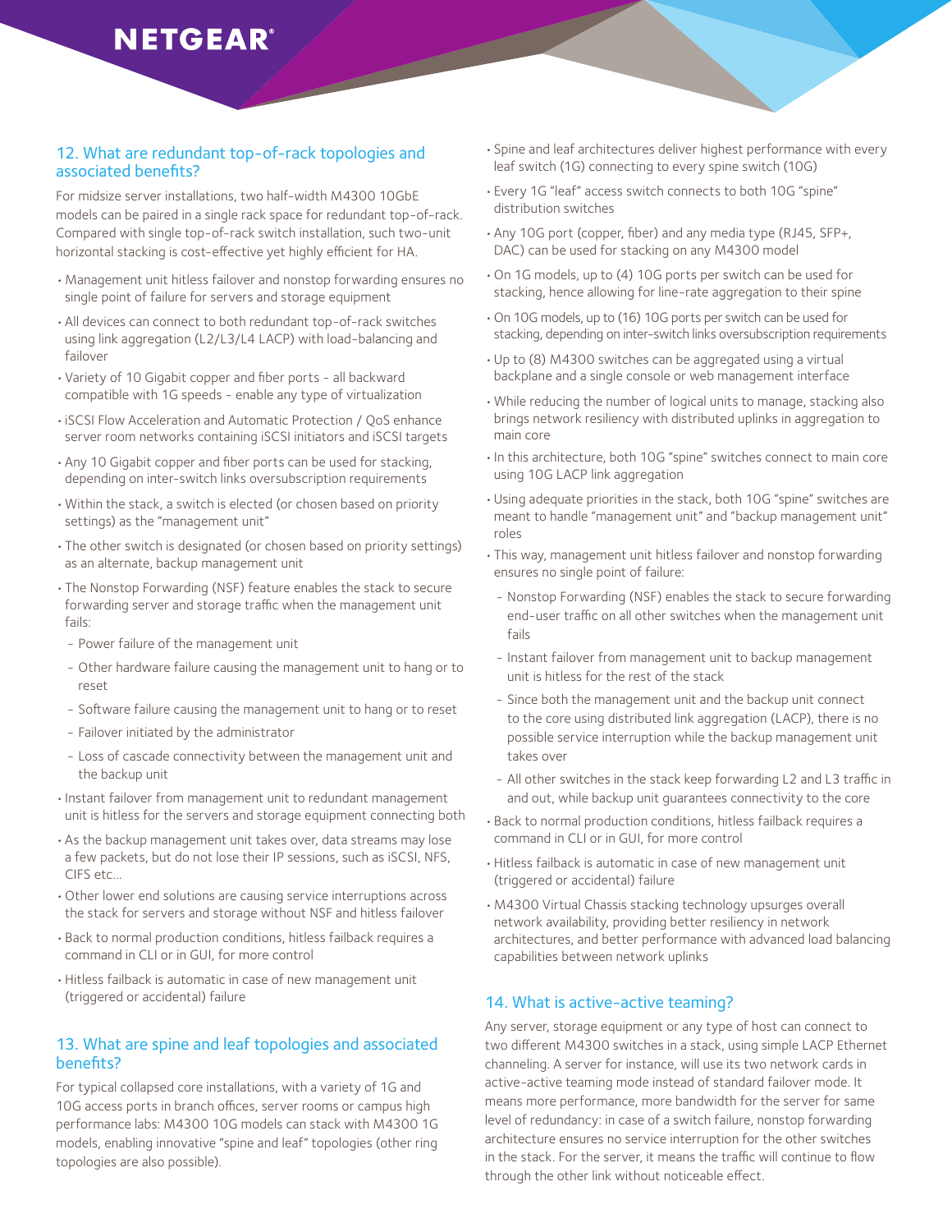#### 12. What are redundant top-of-rack topologies and associated benefits?

For midsize server installations, two half-width M4300 10GbE models can be paired in a single rack space for redundant top-of-rack. Compared with single top-of-rack switch installation, such two-unit horizontal stacking is cost-effective yet highly efficient for HA.

- • Management unit hitless failover and nonstop forwarding ensures no single point of failure for servers and storage equipment
- • All devices can connect to both redundant top-of-rack switches using link aggregation (L2/L3/L4 LACP) with load-balancing and failover
- • Variety of 10 Gigabit copper and fiber ports all backward compatible with 1G speeds - enable any type of virtualization
- iSCSI Flow Acceleration and Automatic Protection / QoS enhance server room networks containing iSCSI initiators and iSCSI targets
- Any 10 Gigabit copper and fiber ports can be used for stacking, depending on inter-switch links oversubscription requirements
- • Within the stack, a switch is elected (or chosen based on priority settings) as the "management unit"
- The other switch is designated (or chosen based on priority settings) as an alternate, backup management unit
- The Nonstop Forwarding (NSF) feature enables the stack to secure forwarding server and storage traffic when the management unit fails:
- Power failure of the management unit
- Other hardware failure causing the management unit to hang or to reset
- Software failure causing the management unit to hang or to reset
- Failover initiated by the administrator
- Loss of cascade connectivity between the management unit and the backup unit
- • Instant failover from management unit to redundant management unit is hitless for the servers and storage equipment connecting both
- As the backup management unit takes over, data streams may lose a few packets, but do not lose their IP sessions, such as iSCSI, NFS, CIFS etc...
- Other lower end solutions are causing service interruptions across the stack for servers and storage without NSF and hitless failover
- • Back to normal production conditions, hitless failback requires a command in CLI or in GUI, for more control
- Hitless failback is automatic in case of new management unit (triggered or accidental) failure

#### 13. What are spine and leaf topologies and associated benefits?

For typical collapsed core installations, with a variety of 1G and 10G access ports in branch offices, server rooms or campus high performance labs: M4300 10G models can stack with M4300 1G models, enabling innovative "spine and leaf" topologies (other ring topologies are also possible).

- • Spine and leaf architectures deliver highest performance with every leaf switch (1G) connecting to every spine switch (10G)
- Every 1G "leaf" access switch connects to both 10G "spine" distribution switches
- Any 10G port (copper, fiber) and any media type (RJ45, SFP+, DAC) can be used for stacking on any M4300 model
- • On 1G models, up to (4) 10G ports per switch can be used for stacking, hence allowing for line-rate aggregation to their spine
- • On 10G models, up to (16) 10G ports per switch can be used for stacking, depending on inter-switch links oversubscription requirements
- • Up to (8) M4300 switches can be aggregated using a virtual backplane and a single console or web management interface
- • While reducing the number of logical units to manage, stacking also brings network resiliency with distributed uplinks in aggregation to main core
- In this architecture, both 10G "spine" switches connect to main core using 10G LACP link aggregation
- • Using adequate priorities in the stack, both 10G "spine" switches are meant to handle "management unit" and "backup management unit" roles
- This way, management unit hitless failover and nonstop forwarding ensures no single point of failure:
- Nonstop Forwarding (NSF) enables the stack to secure forwarding end-user traffic on all other switches when the management unit fails
- Instant failover from management unit to backup management unit is hitless for the rest of the stack
- Since both the management unit and the backup unit connect to the core using distributed link aggregation (LACP), there is no possible service interruption while the backup management unit takes over
- All other switches in the stack keep forwarding L2 and L3 traffic in and out, while backup unit guarantees connectivity to the core
- • Back to normal production conditions, hitless failback requires a command in CLI or in GUI, for more control
- Hitless failback is automatic in case of new management unit (triggered or accidental) failure
- • M4300 Virtual Chassis stacking technology upsurges overall network availability, providing better resiliency in network architectures, and better performance with advanced load balancing capabilities between network uplinks

#### 14. What is active-active teaming?

Any server, storage equipment or any type of host can connect to two different M4300 switches in a stack, using simple LACP Ethernet channeling. A server for instance, will use its two network cards in active-active teaming mode instead of standard failover mode. It means more performance, more bandwidth for the server for same level of redundancy: in case of a switch failure, nonstop forwarding architecture ensures no service interruption for the other switches in the stack. For the server, it means the traffic will continue to flow through the other link without noticeable effect.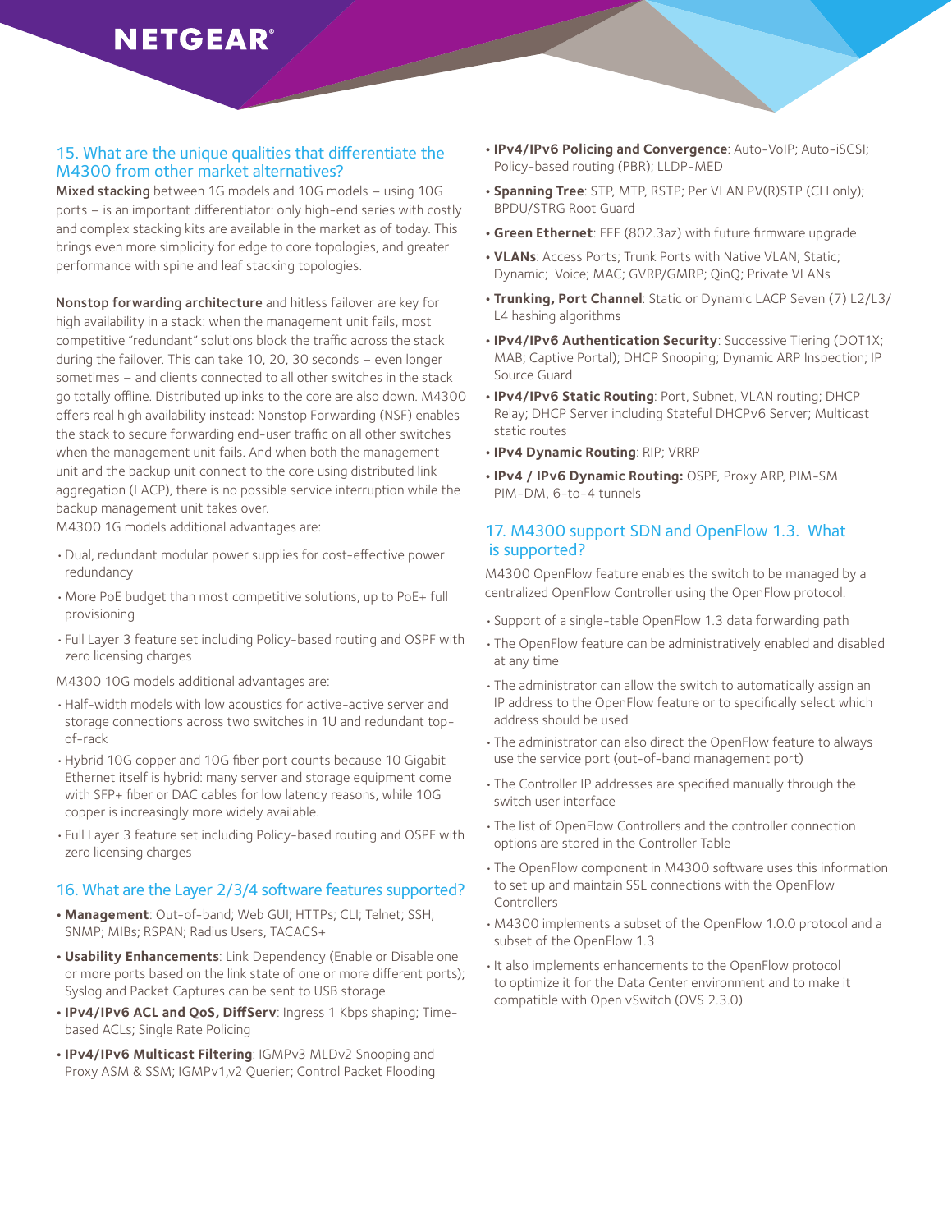#### 15. What are the unique qualities that differentiate the M4300 from other market alternatives?

Mixed stacking between 1G models and 10G models – using 10G ports – is an important differentiator: only high-end series with costly and complex stacking kits are available in the market as of today. This brings even more simplicity for edge to core topologies, and greater performance with spine and leaf stacking topologies.

Nonstop forwarding architecture and hitless failover are key for high availability in a stack: when the management unit fails, most competitive "redundant" solutions block the traffic across the stack during the failover. This can take 10, 20, 30 seconds – even longer sometimes – and clients connected to all other switches in the stack go totally offline. Distributed uplinks to the core are also down. M4300 offers real high availability instead: Nonstop Forwarding (NSF) enables the stack to secure forwarding end-user traffic on all other switches when the management unit fails. And when both the management unit and the backup unit connect to the core using distributed link aggregation (LACP), there is no possible service interruption while the backup management unit takes over.

M4300 1G models additional advantages are:

- • Dual, redundant modular power supplies for cost-effective power redundancy
- • More PoE budget than most competitive solutions, up to PoE+ full provisioning
- • Full Layer 3 feature set including Policy-based routing and OSPF with zero licensing charges

M4300 10G models additional advantages are:

- • Half-width models with low acoustics for active-active server and storage connections across two switches in 1U and redundant topof-rack
- • Hybrid 10G copper and 10G fiber port counts because 10 Gigabit Ethernet itself is hybrid: many server and storage equipment come with SFP+ fiber or DAC cables for low latency reasons, while 10G copper is increasingly more widely available.
- • Full Layer 3 feature set including Policy-based routing and OSPF with zero licensing charges

#### 16. What are the Layer 2/3/4 software features supported?

- **• Management**: Out-of-band; Web GUI; HTTPs; CLI; Telnet; SSH; SNMP; MIBs; RSPAN; Radius Users, TACACS+
- **Usability Enhancements:** Link Dependency (Enable or Disable one or more ports based on the link state of one or more different ports); Syslog and Packet Captures can be sent to USB storage
- **IPv4/IPv6 ACL and QoS, DiffServ**: Ingress 1 Kbps shaping; Timebased ACLs; Single Rate Policing
- **• IPv4/IPv6 Multicast Filtering**: IGMPv3 MLDv2 Snooping and Proxy ASM & SSM; IGMPv1,v2 Querier; Control Packet Flooding
- **• IPv4/IPv6 Policing and Convergence**: Auto-VoIP; Auto-iSCSI; Policy-based routing (PBR); LLDP-MED
- **• Spanning Tree**: STP, MTP, RSTP; Per VLAN PV(R)STP (CLI only); BPDU/STRG Root Guard
- **• Green Ethernet**: EEE (802.3az) with future firmware upgrade
- **• VLANs**: Access Ports; Trunk Ports with Native VLAN; Static; Dynamic; Voice; MAC; GVRP/GMRP; QinQ; Private VLANs
- **• Trunking, Port Channel**: Static or Dynamic LACP Seven (7) L2/L3/ L4 hashing algorithms
- **• IPv4/IPv6 Authentication Security**: Successive Tiering (DOT1X; MAB; Captive Portal); DHCP Snooping; Dynamic ARP Inspection; IP Source Guard
- **• IPv4/IPv6 Static Routing**: Port, Subnet, VLAN routing; DHCP Relay; DHCP Server including Stateful DHCPv6 Server; Multicast static routes
- **• IPv4 Dynamic Routing**: RIP; VRRP
- **• IPv4 / IPv6 Dynamic Routing:** OSPF, Proxy ARP, PIM-SM PIM-DM, 6-to-4 tunnels

#### 17. M4300 support SDN and OpenFlow 1.3. What is supported?

M4300 OpenFlow feature enables the switch to be managed by a centralized OpenFlow Controller using the OpenFlow protocol.

- • Support of a single-table OpenFlow 1.3 data forwarding path
- The OpenFlow feature can be administratively enabled and disabled at any time
- The administrator can allow the switch to automatically assign an IP address to the OpenFlow feature or to specifically select which address should be used
- The administrator can also direct the OpenFlow feature to always use the service port (out-of-band management port)
- The Controller IP addresses are specified manually through the switch user interface
- The list of OpenFlow Controllers and the controller connection options are stored in the Controller Table
- The OpenFlow component in M4300 software uses this information to set up and maintain SSL connections with the OpenFlow Controllers
- • M4300 implements a subset of the OpenFlow 1.0.0 protocol and a subset of the OpenFlow 1.3
- • It also implements enhancements to the OpenFlow protocol to optimize it for the Data Center environment and to make it compatible with Open vSwitch (OVS 2.3.0)